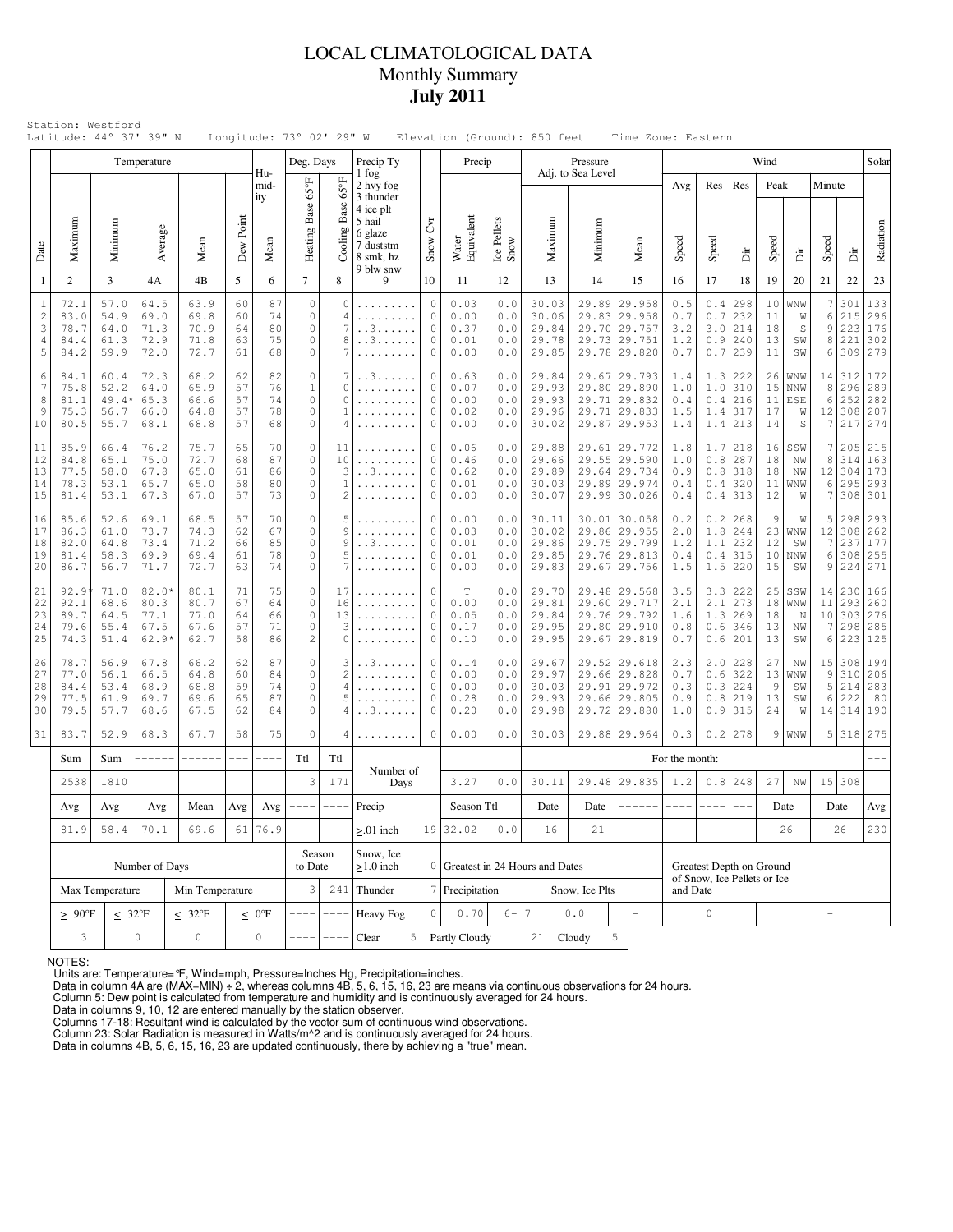## LOCAL CLIMATOLOGICAL DATA Monthly Summary **July 2011**

|                                     |                                                                 |                                                                                                                                              | Temperature                                |                                      |                            |                                                        | Deg. Days                                           |                                                 | Precip Ty                                                                          |                                        | Precip                                      |                                           |                                           | Pressure                                                                     |                                                                              |                                 |                                                          |                                                                      | Wind                                      |                                     |                             |                                     | Solar                               |
|-------------------------------------|-----------------------------------------------------------------|----------------------------------------------------------------------------------------------------------------------------------------------|--------------------------------------------|--------------------------------------|----------------------------|--------------------------------------------------------|-----------------------------------------------------|-------------------------------------------------|------------------------------------------------------------------------------------|----------------------------------------|---------------------------------------------|-------------------------------------------|-------------------------------------------|------------------------------------------------------------------------------|------------------------------------------------------------------------------|---------------------------------|----------------------------------------------------------|----------------------------------------------------------------------|-------------------------------------------|-------------------------------------|-----------------------------|-------------------------------------|-------------------------------------|
|                                     |                                                                 |                                                                                                                                              |                                            |                                      |                            | Hu-<br>mid-                                            |                                                     |                                                 | 1 fog<br>2 hvy fog                                                                 |                                        |                                             |                                           |                                           | Adj. to Sea Level                                                            |                                                                              | Avg                             | Res                                                      | Res                                                                  | Peak                                      |                                     | Minute                      |                                     |                                     |
| Date                                | Maximum                                                         | Minimum                                                                                                                                      | Average                                    | Mean                                 | Dew Point                  | ity<br>Mean                                            | Heating Base 65°F                                   | Base 65°F<br>Cooling                            | 3 thunder<br>4 ice plt<br>5 hail<br>6 glaze<br>7 duststm<br>8 smk, hz<br>9 blw snw | Čνr<br>Snow                            | Water<br>Equivalent                         | Ice Pellets<br>Snow                       | Maximum                                   | Minimum                                                                      | Mean                                                                         | Speed                           | Speed                                                    | Èir                                                                  | Speed                                     | Ä                                   | Speed                       | Èir                                 | Radiation                           |
| $\mathbf{1}$                        | 2                                                               | 3                                                                                                                                            | 4Α                                         | 4B                                   | 5                          | 6                                                      | $\tau$                                              | 8                                               | 9                                                                                  | 10                                     | 11                                          | 12                                        | 13                                        | 14                                                                           | 15                                                                           | 16                              | 17                                                       | 18                                                                   | 19                                        | 20                                  | 21                          | 22                                  | 23                                  |
| $\mathbf{1}$<br>2<br>3<br>4<br>5    | 72.1<br>83.0<br>78.7<br>84.4<br>84.2                            | 57.0<br>54.9<br>64.0<br>61.3<br>59.9                                                                                                         | 64.5<br>69.0<br>71.3<br>72.9<br>72.0       | 63.9<br>69.8<br>70.9<br>71.8<br>72.7 | 60<br>60<br>64<br>63<br>61 | 87<br>74<br>80<br>75<br>68                             | $\mathbb O$<br>$\circ$<br>0<br>$\circ$<br>$\circ$   | $\circ$<br>4<br>7<br>8<br>7                     | . . 3<br>. . 3<br>.                                                                | $\circ$<br>0<br>0<br>$\mathbf{0}$<br>0 | 0.03<br>0.00<br>0.37<br>0.01<br>0.00        | 0.0<br>0.0<br>0.0<br>0.0<br>0.0           | 30.03<br>30.06<br>29.84<br>29.78<br>29.85 | 29.89                                                                        | 29.958<br>29.83 29.958<br>29.70 29.757<br>29.73 29.751<br>29.78 29.820       | 0.5<br>0.7<br>3.2<br>1.2<br>0.7 | 0.4<br>0.7                                               | 298<br>232<br>$3.0$   214<br>$0.9$   240<br>$0.7$   239              | 10<br>11<br>18<br>13<br>11                | WNW<br>W<br>$\mathbb S$<br>SW<br>SW | 7<br>6<br>9<br>8<br>6       | 301<br>215<br>223<br>221<br>309     | 133<br>296<br>176<br>302<br>279     |
| 6<br>$\overline{7}$<br>8<br>9<br>10 | 84.1<br>75.8<br>81.1<br>75.3<br>80.5                            | 60.4<br>72.3<br>68.2<br>52.2<br>64.0<br>65.9<br>49.4<br>65.3<br>66.6<br>56.7<br>66.0<br>64.8<br>55.7<br>68.1<br>68.8<br>76.2<br>75.7<br>66.4 |                                            | 62<br>57<br>57<br>57<br>57           | 82<br>76<br>74<br>78<br>68 | $\circ$<br>$\mathbf{1}$<br>$\mathbb O$<br>0<br>$\circ$ | 7<br>$\mathbf 0$<br>0<br>1<br>4                     | . . 3                                           | 0<br>0<br>$\mathbf{0}$<br>0<br>$\mathbf{0}$                                        | 0.63<br>0.07<br>0.00<br>0.02<br>0.00   | 0.0<br>0.0<br>0.0<br>0.0<br>0.0             | 29.84<br>29.93<br>29.93<br>29.96<br>30.02 |                                           | 29.67 29.793<br>29.80 29.890<br>29.71 29.832<br>29.71 29.833<br>29.87 29.953 | 1.4<br>1.0<br>0.4<br>1.5<br>1.4                                              | 1.4                             | $1.3$ 222<br>$1.0$  310<br>$0.4$ 216<br>317<br>$1.4$ 213 | 26<br>15<br>17<br>14                                                 | <b>WNW</b><br>NNW<br>$11$   ESE<br>W<br>S | 14<br>8<br>6<br>7                   | 312<br>252<br>12 308<br>217 | 172<br>296 289<br>282<br>207<br>274 |                                     |
| 11<br>12<br>13<br>14<br>15          | 85.9<br>84.8<br>77.5<br>78.3<br>81.4                            | 65.1<br>58.0<br>53.1<br>53.1                                                                                                                 | 75.0<br>67.8<br>65.7<br>67.3               | 72.7<br>65.0<br>65.0<br>67.0         | 65<br>68<br>61<br>58<br>57 | 70<br>87<br>86<br>80<br>73                             | $\circ$<br>$\circ$<br>$\circ$<br>$\circ$<br>$\circ$ | 11<br>10<br>3<br>1<br>$\overline{2}$            | .<br>. . 3<br>.                                                                    | 0<br>0<br>0<br>0<br>0                  | 0.06<br>0.46<br>0.62<br>0.01<br>0.00        | 0.0<br>0.0<br>0.0<br>0.0<br>0.0           | 29.88<br>29.66<br>29.89<br>30.03<br>30.07 |                                                                              | 29.61 29.772<br>29.55 29.590<br>29.64 29.734<br>29.89 29.974<br>29.99 30.026 | 1.8<br>1.0<br>0.9<br>0.4<br>0.4 | 1.7                                                      | 218<br>$0.8$ 287<br>$0.8$  318<br>$0.4$ 320<br>$0.4$   313           | 16<br>18<br>18<br>11<br>12                | SSW<br>NW<br>NW<br>  WNW<br>W       | 7<br>8<br>12<br>6<br>7      | 205<br>314<br>304<br>295            | 215<br>163<br>173<br>293<br>308 301 |
| 16<br>17<br>18<br>19<br>20          | 85.6<br>86.3<br>82.0<br>81.4<br>86.7                            | 52.6<br>61.0<br>64.8<br>58.3<br>56.7                                                                                                         | 69.1<br>73.7<br>73.4<br>69.9<br>71.7       | 68.5<br>74.3<br>71.2<br>69.4<br>72.7 | 57<br>62<br>66<br>61<br>63 | 70<br>67<br>85<br>78<br>74                             | $\circ$<br>0<br>$\circ$<br>$\circ$<br>0             | 5<br>9<br>9<br>5<br>7                           | . . 3<br>.                                                                         | 0<br>0<br>$\mathbf{0}$<br>0<br>0       | 0.00<br>0.03<br>0.01<br>0.01<br>0.00        | 0.0<br>0.0<br>0.0<br>0.0<br>0.0           | 30.11<br>30.02<br>29.86<br>29.85<br>29.83 |                                                                              | 30.01 30.058<br>29.86 29.955<br>29.75 29.799<br>29.76 29.813<br>29.67 29.756 | 0.2<br>2.0<br>1.2<br>0.4<br>1.5 |                                                          | $0.2$  268<br>1.8 244<br>$1.1$   232<br>$0.4$   315<br>$1.5$ 220     | 9<br>12<br>10<br>15                       | W<br>$23$ WNW<br>SW<br>  NNW<br>SW  | 5<br>12<br>7<br>6<br>9      | 298<br>308<br>237<br>308<br>224     | 293<br>262<br>177<br>255<br>271     |
| 21<br>22<br>23<br>24<br>25          | 92.9<br>92.1<br>89.7<br>79.6<br>74.3                            | 71.0<br>68.6<br>64.5<br>55.4<br>51.4                                                                                                         | $82.0*$<br>80.3<br>77.1<br>67.5<br>$62.9*$ | 80.1<br>80.7<br>77.0<br>67.6<br>62.7 | 71<br>67<br>64<br>57<br>58 | 75<br>64<br>66<br>71<br>86                             | $\circ$<br>$\circ$<br>$\circ$<br>$\circ$<br>2       | 17<br>16<br>13<br>3<br>$\Omega$                 | .<br>.                                                                             | $\mathbf{0}$<br>0<br>0<br>0<br>0       | $\mathbb T$<br>0.00<br>0.05<br>0.17<br>0.10 | 0.0<br>0.0<br>0.0<br>0.0<br>0.0           | 29.70<br>29.81<br>29.84<br>29.95<br>29.95 |                                                                              | 29.48 29.568<br>29.60 29.717<br>29.76 29.792<br>29.80 29.910<br>29.67 29.819 | 3.5<br>2.1<br>1.6<br>0.8<br>0.7 |                                                          | $3.3$ 222<br>$2.1$   273<br>1.3 269<br>$0.6$   346<br>$0.6$   201    | 25<br>18<br>18<br>13<br>13                | SSW<br>WNW<br>N<br>NW<br>SW         | 14<br>11<br>10<br>7<br>6    | 230<br>293<br> 303 <br>298<br>223   | 166<br>260<br>276<br>285<br>125     |
| 26<br>27<br>28<br>29<br>30          | 78.7<br>77.0<br>84.4<br>77.5<br>79.5                            | 56.9<br>56.1<br>53.4<br>61.9<br>57.7                                                                                                         | 67.8<br>66.5<br>68.9<br>69.7<br>68.6       | 66.2<br>64.8<br>68.8<br>69.6<br>67.5 | 62<br>60<br>59<br>65<br>62 | 87<br>84<br>74<br>87<br>84                             | $\circ$<br>$\circ$<br>$\circ$<br>0<br>0             | 3<br>$\overline{c}$<br>4<br>5<br>$\overline{4}$ | . . 3<br>.<br>. . 3                                                                | 0<br>0<br>$\Omega$<br>0<br>0           | 0.14<br>0.00<br>0.00<br>0.28<br>0.20        | 0.0<br>0.0<br>0.0<br>0.0<br>0.0           | 29.67<br>29.97<br>30.03<br>29.93<br>29.98 |                                                                              | 29.52 29.618<br>29.66 29.828<br>29.91 29.972<br>29.66 29.805<br>29.72 29.880 | 2.3<br>0.7<br>0.3<br>0.9<br>1.0 |                                                          | $2.0$  228<br>$0.6$ 322<br>$0.3$   224<br>$0.8$   219<br>$0.9$   315 | 27<br>13<br>9<br>13<br>24                 | NW<br>WNW<br>SW<br>SW<br>W          | 15<br>9<br>5<br>6<br>14     | 308<br>310<br>214<br>222<br> 314    | 194<br>206<br>283<br>80<br>190      |
| 31                                  | 83.7                                                            | 52.9                                                                                                                                         | 68.3                                       | 67.7                                 | 58                         | 75                                                     | 0                                                   | 4                                               | .                                                                                  | $\circ$                                | 0.00                                        | 0.0                                       | 30.03                                     |                                                                              | 29.88 29.964                                                                 | 0.3                             |                                                          | $0.2$   278                                                          |                                           | $9 $ WNW                            |                             |                                     | 5 318 275                           |
|                                     | Sum                                                             | Sum                                                                                                                                          | ------                                     | $------$                             | $---$                      |                                                        | Ttl                                                 | Ttl                                             | Number of                                                                          |                                        |                                             |                                           |                                           |                                                                              |                                                                              | For the month:                  |                                                          |                                                                      |                                           |                                     |                             |                                     |                                     |
|                                     | 2538                                                            | 1810                                                                                                                                         |                                            | Avg                                  |                            | 3                                                      | 171                                                 | Days                                            |                                                                                    | 3.27                                   | 0.0                                         | 30.11                                     |                                           | 29.48 29.835<br>$- - - - - -$                                                | 1.2                                                                          |                                 | $0.8$ 248                                                | 27                                                                   | ΝW                                        |                                     | 15 308                      |                                     |                                     |
|                                     | Avg                                                             | Mean<br>Avg<br>Avg<br>81.9<br>58.4<br>70.1<br>69.6                                                                                           |                                            |                                      |                            | Avg <sub>1</sub><br>76.9                               | $---$                                               | $--- -$<br>$-1$                                 | Precip                                                                             |                                        | Season Ttl<br>19 32.02                      | 0.0                                       | Date<br>16                                | Date<br>21                                                                   |                                                                              | $---$                           | $--- - -$                                                | $- - -$                                                              |                                           | Date<br>26                          |                             | Date<br>26                          | Avg<br>230                          |
|                                     |                                                                 |                                                                                                                                              | Number of Days                             | 61                                   |                            | Season<br>to Date                                      |                                                     | $> 01$ inch<br>Snow, Ice<br>$>1.0$ inch         |                                                                                    | 0 Greatest in 24 Hours and Dates       |                                             |                                           |                                           |                                                                              | Greatest Depth on Ground                                                     |                                 |                                                          |                                                                      |                                           |                                     |                             |                                     |                                     |
|                                     | Max Temperature<br>Min Temperature                              |                                                                                                                                              |                                            |                                      |                            |                                                        | 3                                                   | 241                                             | Thunder                                                                            |                                        | 7 Precipitation                             |                                           |                                           | Snow, Ice Plts                                                               |                                                                              | and Date                        | of Snow, Ice Pellets or Ice                              |                                                                      |                                           |                                     |                             |                                     |                                     |
|                                     | $\geq 90^{\circ}$ F<br>$\leq 32^{\circ}F$<br>$\leq 32^{\circ}F$ |                                                                                                                                              |                                            |                                      |                            | $\leq 0$ °F                                            |                                                     |                                                 | <b>Heavy Fog</b>                                                                   | $\circ$                                | 0.70                                        | $6 - 7$                                   |                                           | $0.0$                                                                        | $\overline{\phantom{a}}$                                                     |                                 | $\circ$                                                  |                                                                      |                                           |                                     | $\overline{\phantom{0}}$    |                                     |                                     |
|                                     | 3<br>$\circ$<br>$\circ$<br>$\mathsf{O}\xspace$                  |                                                                                                                                              |                                            |                                      |                            |                                                        |                                                     |                                                 | Clear                                                                              |                                        | 5 Partly Cloudy                             |                                           | 21                                        | Cloudy                                                                       | 5                                                                            |                                 |                                                          |                                                                      |                                           |                                     |                             |                                     |                                     |

NOTES:

Units are: Temperature=  $\mathbb{F}$ , Wind=mph, Pressure=Inches Hg, Precipitation=inches.<br>Data in column 4A are (MAX+MIN) ÷ 2, whereas columns 4B, 5, 6, 15, 16, 23 are means via continuous observations for 24 hours.<br>Column 5:

Column 23: Solar Radiation is measured in Watts/m^2 and is continuously averaged for 24 hours. Data in columns 4B, 5, 6, 15, 16, 23 are updated continuously, there by achieving a "true" mean.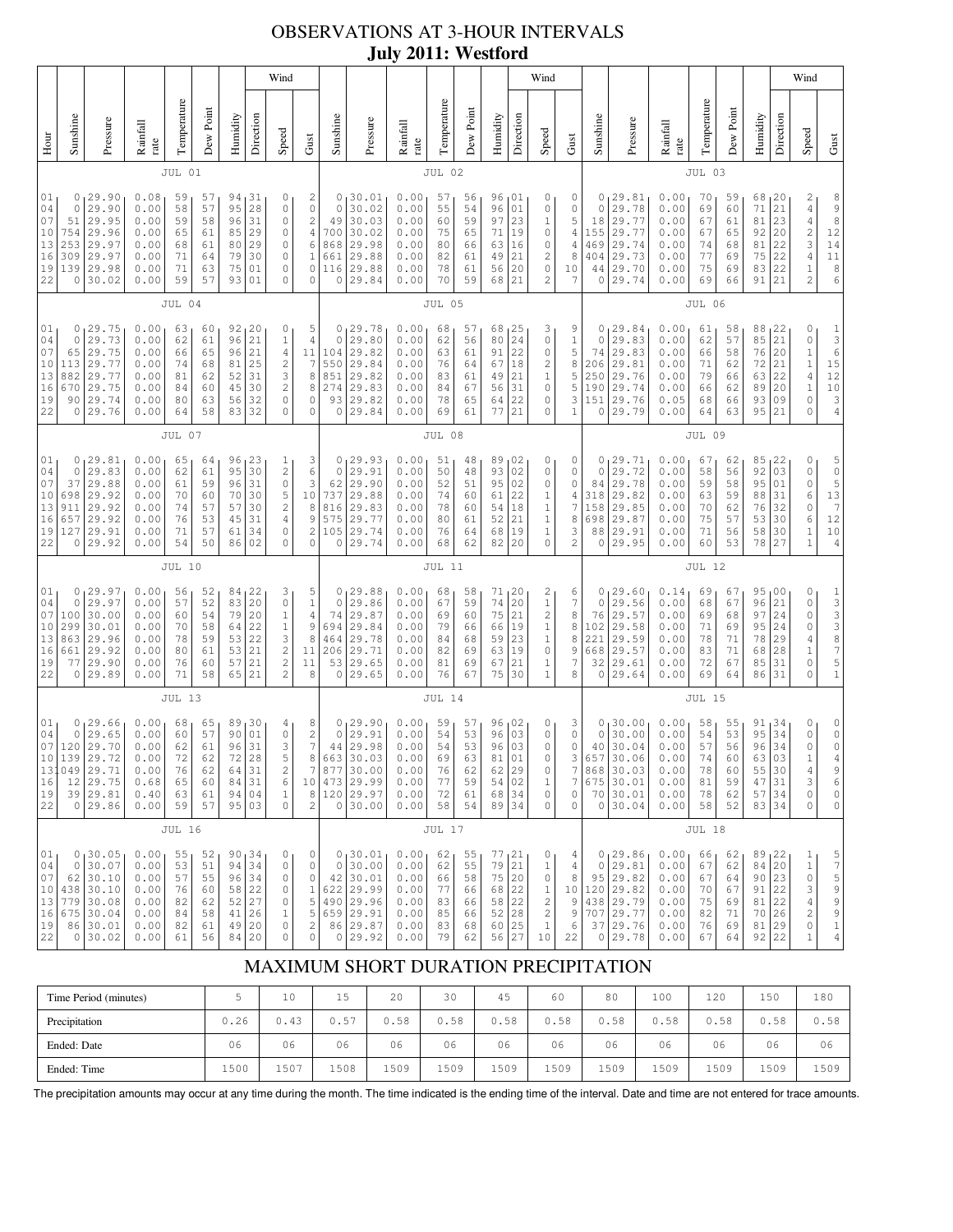## OBSERVATIONS AT 3-HOUR INTERVALS **July 2011: Westford**

|                                                     |                                                                                                                                                                                                                                                                                                                                                                                                                                                                                      |                                                                                        |                                                              |                                              |                                              |                                              |                                                  | Wind                                                                                                              |                                                                                                 |                                                                       |                                                                            |                                                              |                                              |                                              |                                                     |                                                                                       | Wind                                                                                                              |                                                       |                                                                      |                                                                             |                                                                |                                              |                                                  |                                                        |                                                                                                   | Wind                                                                                                          |                                                                                                                       |
|-----------------------------------------------------|--------------------------------------------------------------------------------------------------------------------------------------------------------------------------------------------------------------------------------------------------------------------------------------------------------------------------------------------------------------------------------------------------------------------------------------------------------------------------------------|----------------------------------------------------------------------------------------|--------------------------------------------------------------|----------------------------------------------|----------------------------------------------|----------------------------------------------|--------------------------------------------------|-------------------------------------------------------------------------------------------------------------------|-------------------------------------------------------------------------------------------------|-----------------------------------------------------------------------|----------------------------------------------------------------------------|--------------------------------------------------------------|----------------------------------------------|----------------------------------------------|-----------------------------------------------------|---------------------------------------------------------------------------------------|-------------------------------------------------------------------------------------------------------------------|-------------------------------------------------------|----------------------------------------------------------------------|-----------------------------------------------------------------------------|----------------------------------------------------------------|----------------------------------------------|--------------------------------------------------|--------------------------------------------------------|---------------------------------------------------------------------------------------------------|---------------------------------------------------------------------------------------------------------------|-----------------------------------------------------------------------------------------------------------------------|
| Hour                                                | Sunshine                                                                                                                                                                                                                                                                                                                                                                                                                                                                             | Pressure                                                                               | Rainfall<br>rate                                             | Temperature                                  | Dew Point                                    | Humidity                                     | Direction                                        | Speed                                                                                                             | Gust                                                                                            | Sunshine                                                              | Pressure                                                                   | Rainfall<br>rate                                             | Temperature                                  | Dew Poin                                     | Humidity                                            | Direction                                                                             | Speed                                                                                                             | Gust                                                  | Sunshine                                                             | Pressure                                                                    | Rainfall<br>rate                                               | Temperature                                  | Dew Point                                        | Humidity                                               | Direction                                                                                         | Speed                                                                                                         | Gust                                                                                                                  |
|                                                     |                                                                                                                                                                                                                                                                                                                                                                                                                                                                                      |                                                                                        |                                                              | JUL 01                                       |                                              |                                              |                                                  |                                                                                                                   |                                                                                                 |                                                                       |                                                                            |                                                              | JUL 02                                       |                                              |                                                     |                                                                                       |                                                                                                                   |                                                       |                                                                      |                                                                             |                                                                | JUL 03                                       |                                                  |                                                        |                                                                                                   |                                                                                                               |                                                                                                                       |
| 01<br>04<br>07<br>10<br>13<br>16<br>19<br>22        | 0<br>29.90<br>0.08<br>94,31<br>0<br>59<br>57<br>$\mathbb O$<br>$\mathbf 0$<br>29.90<br>0.00<br>58<br>57<br>95<br>28<br>29.95<br>0.00<br>31<br>$\mathbb O$<br>59<br>58<br>96<br>51<br>29.96<br>0.00<br>29<br>85<br>$\circ$<br>754<br>65<br>61<br>29.97<br>29<br>253<br>0.00<br>68<br>$\circ$<br>61<br>80<br>309<br>29.97<br>0.00<br>71<br>79<br>30<br>$\mathbb O$<br>64<br>139<br>29.98<br>71<br>75<br>0.00<br>63<br>01<br>$\circ$<br>30.02<br>59<br>01<br>0<br>0.00<br>57<br>93<br>0 |                                                                                        |                                                              |                                              |                                              |                                              |                                                  | $\mathbf{2}$<br>$\mathsf{O}\xspace$<br>$\sqrt{2}$<br>$\sqrt{4}$<br>6<br>$\mathbf{1}$<br>$\mathbb O$<br>0          | 0<br>$\mathbf 0$<br>49<br>700<br>868<br>661<br>116<br>0                                         | 130.01<br>30.02<br>30.03<br>30.02<br>29.98<br>29.88<br>29.88<br>29.84 | 0.00<br>0.00<br>0.00<br>0.00<br>0.00<br>0.00<br>0.00<br>0.00               | 57<br>55<br>60<br>75<br>80<br>82<br>78<br>70                 | 56<br>54<br>59<br>65<br>66<br>61<br>61<br>59 | 96<br>96<br>97<br>71<br>63<br>49<br>56<br>68 | 101<br>01<br>23<br>19<br>16<br>21<br>20<br>21       | 0<br>0<br>$1\,$<br>0<br>0<br>2<br>0<br>$\overline{c}$                                 | 0<br>0<br>5<br>4<br>4<br>8<br>10<br>7                                                                             | 0<br>0<br>18<br>155<br>469<br>404<br>44<br>0          | 29.81<br>29.78<br>29.77<br>29.77<br>29.74<br>29.73<br>29.70<br>29.74 | 0.00<br>0.00<br>0.00<br>0.00<br>0.00<br>0.00<br>0.00<br>0.00                | 70<br>69<br>67<br>67<br>74<br>77<br>75<br>69                   | 59<br>60<br>61<br>65<br>68<br>69<br>69<br>66 | 68, 20<br>71<br>81<br>92<br>81<br>75<br>83<br>91 | 21<br>23<br>20<br>22<br>22<br>22<br>21                 | $\overline{\mathbf{c}}$<br>$\overline{4}$<br>4<br>$\sqrt{2}$<br>3<br>$\overline{4}$<br>$\,1$<br>2 | $\begin{smallmatrix} 8\\ 9 \end{smallmatrix}$<br>8<br>12<br>14<br>11<br>$\begin{array}{c} 8 \\ 6 \end{array}$ |                                                                                                                       |
|                                                     |                                                                                                                                                                                                                                                                                                                                                                                                                                                                                      |                                                                                        |                                                              | JUL 04                                       |                                              |                                              |                                                  |                                                                                                                   |                                                                                                 |                                                                       |                                                                            |                                                              | JUL 05                                       |                                              |                                                     |                                                                                       |                                                                                                                   |                                                       |                                                                      |                                                                             |                                                                | <b>JUL 06</b>                                |                                                  |                                                        |                                                                                                   |                                                                                                               |                                                                                                                       |
| 01<br>04<br>07<br>10<br>13<br>16<br>19<br>22        | 0<br>$\mathbb O$<br>65<br>113<br>882<br>670<br>90<br>0                                                                                                                                                                                                                                                                                                                                                                                                                               | 29.75<br>29.73<br>29.75<br>29.77<br>29.77<br>29.75<br>29.74<br>29.76                   | 0.00<br>0.00<br>0.00<br>0.00<br>0.00<br>0.00<br>0.00<br>0.00 | 63<br>62<br>66<br>74<br>81<br>84<br>80<br>64 | 60<br>61<br>65<br>68<br>62<br>60<br>63<br>58 | 92<br>96<br>96<br>81<br>52<br>45<br>56<br>83 | 20<br>21<br>21<br>25<br>31<br>30<br>32<br>32     | 0<br>$\,1\,$<br>$\sqrt{4}$<br>$\sqrt{2}$<br>3<br>$\mathbf{2}$<br>$\circ$<br>$\mathbf 0$                           | 5<br>$\sqrt{4}$<br>11<br>$\overline{7}$<br>8<br>8<br>0<br>0                                     | 0<br>$\mathbf 0$<br>104<br>550<br>851<br>274<br>93<br>0               | 29.78<br>29.80<br>29.82<br>29.84<br>29.82<br>29.83<br>29.82<br>29.84       | 0.00<br>0.00<br>0.00<br>0.00<br>0.00<br>0.00<br>0.00<br>0.00 | 68<br>62<br>63<br>76<br>83<br>84<br>78<br>69 | 57<br>56<br>61<br>64<br>61<br>67<br>65<br>61 | 68<br>80<br>91<br>67<br>49<br>56<br>64<br>77        | 25  <br>24<br>22<br>18<br>21<br>31<br>22<br>21                                        | 3<br>$\mathsf{O}\xspace$<br>0<br>2<br>$1\,$<br>0<br>0<br>0                                                        | 9<br>$1\,$<br>5<br>8<br>5<br>5<br>3<br>1              | 0<br>0<br>74<br>206<br>250<br>190<br>151<br>0                        | 29.84<br>29.83<br>29.83<br>29.81<br>29.76<br>29.74<br>29.76<br>29.79        | 0.00<br>0.00<br>0.00<br>0.00<br>0.00<br>0.00<br>0.05<br>0.00   | 61<br>62<br>66<br>71<br>79<br>66<br>68<br>64 | 58<br>57<br>58<br>62<br>66<br>62<br>66<br>63     | 88<br>85<br>76<br>72<br>63<br>89<br>93<br>95           | 22<br>21<br>20<br>21<br>22<br>20<br>09<br>21                                                      | 0<br>0<br>$\,1$<br>$\,1\,$<br>4<br>$\,1$<br>0<br>0                                                            | $\frac{1}{3}$<br>$\begin{array}{c} 6 \\ 15 \end{array}$<br>$\begin{array}{c} 12 \\ 10 \end{array}$<br>3<br>$\sqrt{4}$ |
|                                                     | JUL 07                                                                                                                                                                                                                                                                                                                                                                                                                                                                               |                                                                                        |                                                              |                                              |                                              |                                              |                                                  |                                                                                                                   |                                                                                                 |                                                                       |                                                                            | JUL 08                                                       |                                              |                                              |                                                     |                                                                                       |                                                                                                                   |                                                       |                                                                      |                                                                             | <b>JUL 09</b>                                                  |                                              |                                                  |                                                        |                                                                                                   |                                                                                                               |                                                                                                                       |
| 01<br>04<br>07<br>10<br>13<br>16<br>19<br>22        | 0<br>$\mathbb O$<br>37<br>698<br>911<br>657<br>127<br>0                                                                                                                                                                                                                                                                                                                                                                                                                              | 29.81<br>29.83<br>29.88<br>29.92<br>29.92<br>29.92<br>29.91<br>29.92                   | 0.00<br>0.00<br>0.00<br>0.00<br>0.00<br>0.00<br>0.00<br>0.00 | 65<br>62<br>61<br>70<br>74<br>76<br>71<br>54 | 64<br>61<br>59<br>60<br>57<br>53<br>57<br>50 | 96<br>95<br>96<br>70<br>57<br>45<br>61<br>86 | 23<br>30<br>31<br>30<br>30<br>31<br>34<br>02     | 1<br>$\overline{c}$<br>$\mathbb O$<br>5<br>$\sqrt{2}$<br>$\overline{4}$<br>$\mathbb O$<br>$\mathbf 0$             | 3<br>6<br>3<br>10<br>8<br>9<br>$\sqrt{2}$<br>$\circ$                                            | 0<br>$\mathbf 0$<br>62<br>737<br>816<br>575<br>105<br>0               | 29.93<br>29.91<br>29.90<br>29.88<br>29.83<br>29.77<br>29.74<br>29.74       | 0.00<br>0.00<br>0.00<br>0.00<br>0.00<br>0.00<br>0.00<br>0.00 | 51<br>50<br>52<br>74<br>78<br>80<br>76<br>68 | 48<br>48<br>51<br>60<br>60<br>61<br>64<br>62 | 89<br>93<br>95<br>61<br>54<br>52<br>68<br>82        | 02<br>02<br>02<br>22<br>18<br>21<br>19<br>20                                          | 0<br>0<br>0<br>$\mathbf{1}$<br>$\,1\,$<br>$\,1$<br>$\,1\,$<br>0                                                   | 0<br>0<br>0<br>4<br>7<br>8<br>3<br>2                  | 0<br>0<br>84<br>318<br>158<br>698<br>88<br>0                         | 29.71<br>29.72<br>29.78<br>29.82<br>29.85<br>29.87<br>29.91<br>29.95        | 0.00<br>0.00<br>0.00<br>0.00<br>0.00<br>0.00<br>0.00<br>0.00   | 67<br>58<br>59<br>63<br>70<br>75<br>71<br>60 | 62<br>56<br>58<br>59<br>62<br>57<br>56<br>53     | 85<br>92<br>95<br>88<br>76<br>53<br>58<br>78           | 22<br>03<br>01<br>31<br>32<br>30<br>30<br>27                                                      | 0<br>0<br>0<br>6<br>0<br>6<br>$\,1$<br>$\mathbf 1$                                                            | $\begin{array}{c} 5 \\ 0 \end{array}$<br>5<br>$13$<br>$\boldsymbol{\tau}$<br>$1\,2$<br>$10$<br>$\sqrt{4}$             |
|                                                     |                                                                                                                                                                                                                                                                                                                                                                                                                                                                                      |                                                                                        |                                                              | <b>JUL 10</b>                                |                                              |                                              |                                                  |                                                                                                                   |                                                                                                 |                                                                       |                                                                            |                                                              | <b>JUL 11</b>                                |                                              |                                                     |                                                                                       |                                                                                                                   |                                                       |                                                                      |                                                                             |                                                                | <b>JUL 12</b>                                |                                                  |                                                        |                                                                                                   |                                                                                                               |                                                                                                                       |
| 01<br>04<br>07<br>10<br>13<br>16<br>19<br>22        | 0<br>0<br>100<br>299<br>863<br>661<br>77<br>$\circ$                                                                                                                                                                                                                                                                                                                                                                                                                                  | 29.97<br>29.97<br>30.00<br>30.01<br>29.96<br>29.92<br>29.90<br>29.89                   | 0.00<br>0.00<br>0.00<br>0.00<br>0.00<br>0.00<br>0.00<br>0.00 | 56<br>57<br>60<br>70<br>78<br>80<br>76<br>71 | 52<br>52<br>54<br>58<br>59<br>61<br>60<br>58 | 84<br>83<br>79<br>64<br>53<br>53<br>57<br>65 | 22<br>20<br>20<br>22<br>22<br>21<br>21<br>21     | 3<br>$\mathbb O$<br>$1\,$<br>$1\,$<br>$\ensuremath{\mathsf{3}}$<br>$\sqrt{2}$<br>$\overline{c}$<br>$\overline{2}$ | 5<br>$1\,$<br>$\sqrt{4}$<br>9<br>8<br>11<br>11<br>8                                             | 0<br>$\circ$<br>74<br>694<br>464<br>206<br>53<br>$\mathbb O$          | 29.88<br>29.86<br>29.87<br>29.84<br>29.78<br>29.71<br>29.65<br>29.65       | 0.00<br>0.00<br>0.00<br>0.00<br>0.00<br>0.00<br>0.00<br>0.00 | 68<br>67<br>69<br>79<br>84<br>82<br>81<br>76 | 58<br>59<br>60<br>66<br>68<br>69<br>69<br>67 | 71<br>74<br>75<br>66<br>59<br>63<br>67<br>75        | 20 ر<br>20<br>21<br>19<br>23<br>19<br>21<br>30                                        | 2<br>$\mathbf 1$<br>$\overline{\mathbf{c}}$<br>$\mathbf 1$<br>$\mathbf 1$<br>$\mathbb O$<br>$1\,$<br>$\mathbf{1}$ | 6<br>7<br>8<br>8<br>8<br>9<br>7<br>8                  | 0<br>0<br>76<br>102<br>221<br>668<br>32<br>0                         | 29.60<br>29.56<br>29.57<br>29.58<br>29.59<br>29.57<br>29.61<br>29.64        | 0.14<br>0.00<br>0.00<br>0.00<br>0.00<br>0.00<br>0.00<br>0.00   | 69<br>68<br>69<br>71<br>78<br>83<br>72<br>69 | 67<br>67<br>68<br>69<br>71<br>71<br>67<br>64     | 95<br>96<br>97<br>95<br>78<br>68<br>85<br>86           | 0 <sub>0</sub><br>21<br>24<br>24<br>29<br>28<br>31<br>31                                          | 0<br>0<br>0<br>0<br>4<br>$\,1$<br>0<br>0                                                                      | $\begin{array}{c} 1 \\ 3 \\ 3 \\ 8 \end{array}$<br>7<br>5<br>$\,1\,$                                                  |
|                                                     |                                                                                                                                                                                                                                                                                                                                                                                                                                                                                      | <b>JUL 13</b>                                                                          |                                                              |                                              |                                              |                                              |                                                  |                                                                                                                   |                                                                                                 |                                                                       |                                                                            | <b>JUL 14</b>                                                |                                              |                                              |                                                     |                                                                                       |                                                                                                                   |                                                       |                                                                      |                                                                             | <b>JUL 15</b>                                                  |                                              |                                                  |                                                        |                                                                                                   |                                                                                                               |                                                                                                                       |
| 01<br>04<br>10<br>13 <sup>2</sup><br>16<br>19<br>22 | 0<br>0<br>07 120 <br> 139<br>049<br>12                                                                                                                                                                                                                                                                                                                                                                                                                                               | 29.66<br>29.65<br>29.70<br>29.72<br>29.71<br>29.75<br>39 29.81<br>0 29.86              | 0.00<br>0.00<br>0.00<br>0.00<br>0.00<br>0.68<br>0.40<br>0.00 | 68<br>60<br>62<br>72<br>76<br>65<br>63<br>59 | 65<br>57<br>61<br>62<br>62<br>60<br>61<br>57 | 89<br>90<br>96<br>72<br>64<br>84<br>94       | 30<br>01<br>31<br>28<br>31<br>31<br>04<br>95 03  | 4<br>$\mathbb O$<br>3<br>5<br>$\overline{\mathbf{c}}$<br>$\epsilon$<br>$\,1\,$<br>$\circ$                         | 8<br>$\sqrt{2}$<br>$\boldsymbol{7}$<br>8<br>7<br>10<br>$\,$ 8 $\,$<br>$\overline{c}$            | 0<br>$\circ$<br>44<br>663<br>877<br>120                               | 29.90<br>29.91<br>29.98<br>30.03<br>30.00<br>473 29.99<br>29.97<br>0 30.00 | 0.00<br>0.00<br>0.00<br>0.00<br>0.00<br>0.00<br>0.00<br>0.00 | 59<br>54<br>54<br>69<br>76<br>77<br>72<br>58 | 57<br>53<br>53<br>63<br>62<br>59<br>61<br>54 | 96<br>96<br>96<br>81<br>62<br>54<br>68<br>89        | 02 ر<br>03<br>03<br>01<br>29<br>02<br>34<br>34                                        | 0<br>0<br>$\mathbb O$<br>0<br>0<br>$\mathbf 1$<br>$\mathbf 0$<br>0                                                | 3<br>0<br>0<br>3<br>7<br>7<br>$\circ$<br>0            | 0<br>0<br>40<br>657<br>868<br>675<br>70                              | 30.00<br>30.00<br>30.04<br>30.06<br>30.03<br>30.01<br>30.01<br>0 30.04      | 0.00<br>0.00<br>0.00<br>0.00<br>0.00<br>0.00<br>0.00<br>$0.00$ | 58<br>54<br>57<br>74<br>78<br>81<br>78<br>58 | 55<br>53<br>56<br>60<br>60<br>59<br>62<br>52     | 91<br>95<br>96<br>63<br>55<br>$4\,7$<br>57 34<br>83 34 | 134<br>34<br>34<br>03<br>30<br>31                                                                 | 0<br>0<br>0<br>1<br>4<br>3<br>0<br>0                                                                          | $\circ$<br>$\mathbb O$<br>$\mathbb O$<br>4<br>9<br>6<br>$\mathbb O$<br>0                                              |
|                                                     |                                                                                                                                                                                                                                                                                                                                                                                                                                                                                      |                                                                                        |                                                              | <b>JUL 16</b>                                |                                              |                                              |                                                  |                                                                                                                   |                                                                                                 |                                                                       |                                                                            |                                                              | <b>JUL 17</b>                                |                                              |                                                     |                                                                                       |                                                                                                                   |                                                       |                                                                      |                                                                             |                                                                | JUL 18                                       |                                                  |                                                        |                                                                                                   |                                                                                                               |                                                                                                                       |
| 01<br>04<br>07<br>10<br>13<br>16<br>19<br>22        | $\circ$<br>62<br>0                                                                                                                                                                                                                                                                                                                                                                                                                                                                   | 0, 30.05<br>30.07<br>30.10<br>438 30.10<br>779 30.08<br>675 30.04<br>86 30.01<br>30.02 | 0.00<br>0.00<br>0.00<br>0.00<br>0.00<br>0.00<br>0.00<br>0.00 | 55<br>53<br>57<br>76<br>82<br>84<br>82<br>61 | 52<br>51<br>55<br>60<br>62<br>58<br>61<br>56 | 94<br>96<br>58<br>52<br>41<br>49<br>84       | 90, 34<br>34<br>34<br>22<br>27<br>26<br>20<br>20 | 0<br>$\mathbb O$<br>$\mathbb O$<br>$\circ$<br>$\mathbb O$<br>$\mathbf{1}$<br>$\mathbb O$<br>$\circ$               | 0<br>$\mathbb O$<br>$\mathbb O$<br>$\mathbf{1}$<br>5<br>5<br>$\mathbf 2$<br>$\mathsf{O}\xspace$ | $\mathbb O$<br>42<br>622<br>490<br>659<br>86<br>0                     | 0, 30.01<br>30.00<br>30.01<br>29.99<br>29.96<br>29.91<br>29.87<br>29.92    | 0.00<br>0.00<br>0.00<br>0.00<br>0.00<br>0.00<br>0.00<br>0.00 | 62<br>62<br>66<br>77<br>83<br>85<br>83<br>79 | 55<br>55<br>58<br>66<br>66<br>66<br>68<br>62 | 77,21<br>79<br>$7\,5$<br>68<br>58<br>52<br>60<br>56 | $\begin{array}{ c c }\n21 \\ 20\n\end{array}$<br>22<br>$2\sqrt{2}$<br> 28<br>25<br>27 | 0<br>$1\,$<br>$\mathbb O$<br>$1\,$<br>$\overline{\mathbf{c}}$<br>$\sqrt{2}$<br>$\mathbf{1}$<br>$10$               | 4<br>4<br>8<br>$10$<br>9<br>$\overline{9}$<br>6<br>22 | 0<br>95<br>438<br>707<br>37<br>$\overline{0}$                        | 0, 29.86<br>29.81<br>29.82<br>120 29.82<br>29.79<br>29.77<br>29.76<br>29.78 | 0.00<br>0.00<br>0.00<br>0.00<br>0.00<br>0.00<br>0.00<br>0.00   | 66<br>67<br>67<br>70<br>75<br>82<br>76<br>67 | 62<br>62<br>64<br>67<br>69<br>71<br>69<br>64     | 89,22<br>84<br>90<br>91<br>81<br>70<br>81<br>92 22     | 20<br>23<br>22<br>22<br>26<br>29                                                                  | $\mathbf{1}$<br>$\,1$<br>$\mathsf{O}\xspace$<br>3<br>$\overline{4}$<br>$\mathbf{2}$<br>0<br>$\mathbf 1$       | 5<br>$\begin{array}{c} 7 \\ 5 \end{array}$<br>$\frac{9}{9}$<br>$\mathfrak{g}$<br>$\frac{1}{4}$                        |

## MAXIMUM SHORT DURATION PRECIPITATION

| Time Period (minutes) |      | 10   | 15   | 20   | 30   | 45   | 60   | 80   | 100  | 120  | 150  | 180  |
|-----------------------|------|------|------|------|------|------|------|------|------|------|------|------|
| Precipitation         | 0.26 | 0.43 | 0.57 | 0.58 | 0.58 | 0.58 | 0.58 | 0.58 | 0.58 | 0.58 | 0.58 | 0.58 |
| Ended: Date           | 06   | 06   | 06   | 06   | 06   | 06   | 06   | 06   | 06   | 06   | 06   | 06   |
| Ended: Time           | 1500 | 1507 | 1508 | 1509 | 1509 | 1509 | 1509 | 1509 | 1509 | 1509 | 1509 | 1509 |

The precipitation amounts may occur at any time during the month. The time indicated is the ending time of the interval. Date and time are not entered for trace amounts.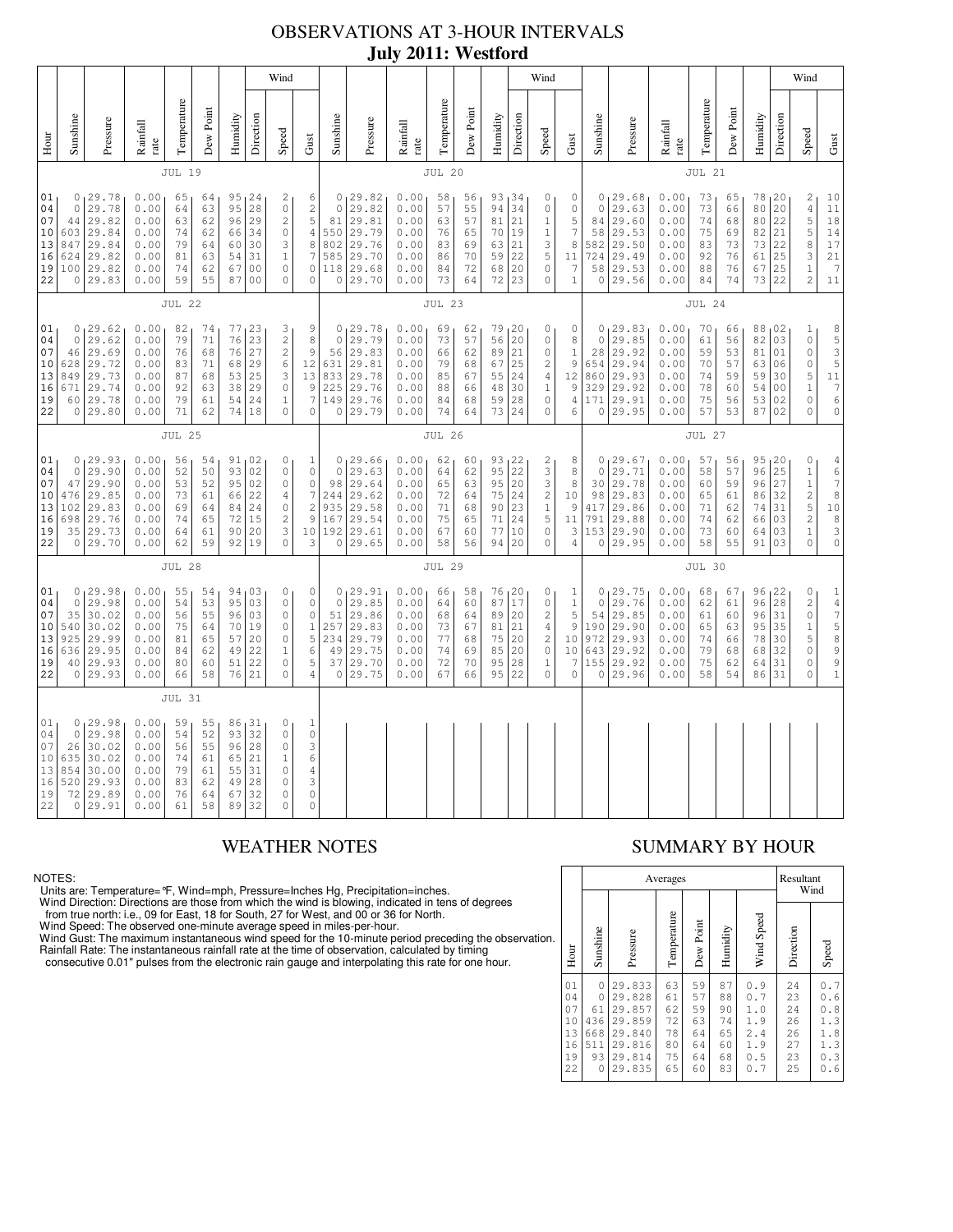# OBSERVATIONS AT 3-HOUR INTERVALS **July 2011: Westford**

|                                              |                                                                                                                                                                                                                                                                                                                                                                                                                                                                                                                                                                                                   |                                                                              |                                                              |                                              |                                              |                                                |                                                                         | Wind                                                                                                               |                                                                                                    |                                                                 |                                                                          |                                                              |                                                                  |                                                                 |                                                  |                                                                         | Wind                                                                                            |                                                     |                                                           |                                                                         |                                                              |                                                                |                                                 |                                                  |                                                    | Wind                                                                                             |                                                                                                              |
|----------------------------------------------|---------------------------------------------------------------------------------------------------------------------------------------------------------------------------------------------------------------------------------------------------------------------------------------------------------------------------------------------------------------------------------------------------------------------------------------------------------------------------------------------------------------------------------------------------------------------------------------------------|------------------------------------------------------------------------------|--------------------------------------------------------------|----------------------------------------------|----------------------------------------------|------------------------------------------------|-------------------------------------------------------------------------|--------------------------------------------------------------------------------------------------------------------|----------------------------------------------------------------------------------------------------|-----------------------------------------------------------------|--------------------------------------------------------------------------|--------------------------------------------------------------|------------------------------------------------------------------|-----------------------------------------------------------------|--------------------------------------------------|-------------------------------------------------------------------------|-------------------------------------------------------------------------------------------------|-----------------------------------------------------|-----------------------------------------------------------|-------------------------------------------------------------------------|--------------------------------------------------------------|----------------------------------------------------------------|-------------------------------------------------|--------------------------------------------------|----------------------------------------------------|--------------------------------------------------------------------------------------------------|--------------------------------------------------------------------------------------------------------------|
| Hour                                         | Sunshine                                                                                                                                                                                                                                                                                                                                                                                                                                                                                                                                                                                          | Pressure                                                                     | Rainfall<br>rate                                             | Temperature                                  | Dew Poin                                     | Humidity                                       | Direction                                                               | Speed                                                                                                              | Gust                                                                                               | Sunshine                                                        | Pressure                                                                 | Rainfall<br>rate                                             | Temperature                                                      | Dew Poin                                                        | Humidity                                         | Direction                                                               | Speed                                                                                           | Gust                                                | Sunshine                                                  | Pressure                                                                | Rainfall<br>rate                                             | Temperature                                                    | Dew Point                                       | Humidity                                         | Direction                                          | Speed                                                                                            | Gust                                                                                                         |
|                                              |                                                                                                                                                                                                                                                                                                                                                                                                                                                                                                                                                                                                   |                                                                              |                                                              | <b>JUL 19</b>                                |                                              |                                                |                                                                         |                                                                                                                    |                                                                                                    |                                                                 |                                                                          |                                                              | <b>JUL 20</b>                                                    |                                                                 |                                                  |                                                                         |                                                                                                 |                                                     |                                                           |                                                                         |                                                              | <b>JUL 21</b>                                                  |                                                 |                                                  |                                                    |                                                                                                  |                                                                                                              |
| 01<br>04<br>07<br>13<br>16<br>19<br>22       | 0.00<br>0, 29.78<br>95<br>1 <sup>24</sup><br>65<br>64<br>2<br>6<br>29.78<br>0.00<br>95<br>28<br>$\mathbb O$<br>$\mathbf{2}$<br>$\circ$<br>64<br>63<br>5<br>29<br>$\sqrt{2}$<br>29.82<br>44<br>0.00<br>63<br>62<br>96<br>$\sqrt{4}$<br>603 29.84<br>$\mathbb O$<br>10<br>0.00<br>74<br>62<br>66<br>34<br>$\,$ 8 $\,$<br>847<br>29.84<br>0.00<br>79<br>30<br>3<br>64<br>60<br>7<br>31<br>624<br>29.82<br>0.00<br>81<br>63<br>54<br>$\mathbf{1}$<br>100 29.82<br>0.00<br>74<br>62<br>0 <sub>0</sub><br>$\mathbb O$<br>0<br>67<br>0.00<br>59<br>55<br>0 <sub>0</sub><br>0 29.83<br>87<br>$\circ$<br>0 |                                                                              |                                                              |                                              |                                              | $\circ$<br>81<br>550<br>802<br>585<br>118<br>0 | 0, 29.82<br>29.82<br>29.81<br>29.79<br>29.76<br>29.70<br>29.68<br>29.70 | 0.00<br>0.00<br>0.00<br>0.00<br>0.00<br>0.00<br>0.00<br>0.00                                                       | 58<br>57<br>63<br>76<br>83<br>86<br>84<br>73                                                       | 56<br>55<br>57<br>65<br>69<br>70<br>72<br>64                    | 93<br>94<br>81<br>70<br>63<br>59<br>68<br>72                             | 34<br>34<br>21<br>19<br>21<br>22<br>20<br>23                 | 0<br>0<br>$\,1\,$<br>$\,1\,$<br>3<br>5<br>$\mathbb O$<br>$\circ$ | 0<br>0<br>5<br>$\boldsymbol{7}$<br>8<br>11<br>7<br>$\mathbf{1}$ | 0<br>84<br>58<br>582<br>724<br>58<br>0           | 0, 29.68<br>29.63<br>29.60<br>29.53<br>29.50<br>29.49<br>29.53<br>29.56 | 0.00<br>0.00<br>0.00<br>0.00<br>0.00<br>0.00<br>0.00<br>0.00                                    | 73<br>73<br>74<br>75<br>83<br>92<br>88<br>84        | 65<br>66<br>68<br>69<br>73<br>76<br>76<br>74              | 78<br>80<br>80<br>82<br>73<br>61<br>67<br>73 22                         | 120<br>20<br>22<br>21<br>22<br>25<br>25                      | 2<br>$\sqrt{4}$<br>5<br>5<br>8<br>3<br>$1\,$<br>$\overline{c}$ | 10<br>11<br>$1\,8$<br>14<br>17<br>21<br>7<br>11 |                                                  |                                                    |                                                                                                  |                                                                                                              |
|                                              | <b>JUL 22</b>                                                                                                                                                                                                                                                                                                                                                                                                                                                                                                                                                                                     |                                                                              |                                                              |                                              |                                              |                                                |                                                                         |                                                                                                                    |                                                                                                    | <b>JUL 23</b>                                                   |                                                                          |                                                              |                                                                  |                                                                 |                                                  |                                                                         |                                                                                                 |                                                     | <b>JUL 24</b>                                             |                                                                         |                                                              |                                                                |                                                 |                                                  |                                                    |                                                                                                  |                                                                                                              |
| 01<br>04<br>07<br>10<br>13<br>16<br>19<br>22 | $\circ$<br>46<br>628<br>849<br>671                                                                                                                                                                                                                                                                                                                                                                                                                                                                                                                                                                | 0, 29.62<br>29.62<br>29.69<br>29.72<br>29.73<br>29.74<br>60 29.78<br>0 29.80 | 0.00<br>0.00<br>0.00<br>0.00<br>0.00<br>0.00<br>0.00<br>0.00 | 82<br>79<br>76<br>83<br>87<br>92<br>79<br>71 | 74<br>71<br>68<br>71<br>68<br>63<br>61<br>62 | 77<br>76<br>76<br>68<br>53<br>38<br>54<br>74   | 123<br>23<br>27<br>29<br>25<br>29<br>24<br>18                           | 3<br>$\sqrt{2}$<br>$\sqrt{2}$<br>6<br>$\ensuremath{\mathsf{3}}$<br>$\mathbb O$<br>$\mathbf{1}$<br>$\circ$          | 9<br>8<br>9<br>12<br>13<br>$\,9$<br>7<br>$\overline{0}$                                            | $\circ$<br>$\circ$<br>56<br>631<br>833<br>225<br>149<br>$\circ$ | 129.78<br>29.79<br>29.83<br>29.81<br>29.78<br>29.76<br>29.76<br>29.79    | 0.00<br>0.00<br>0.00<br>0.00<br>0.00<br>0.00<br>0.00<br>0.00 | 69<br>73<br>66<br>79<br>85<br>88<br>84<br>74                     | 62<br>57<br>62<br>68<br>67<br>66<br>68<br>64                    | 79<br>56<br>89<br>67<br>55<br>48<br>59<br>73     | 120<br>20<br>21<br>25<br>24<br>30<br>28<br>24                           | $\mathbf{0}$<br>$\mathbb O$<br>0<br>$\overline{c}$<br>$\sqrt{4}$<br>$1\,$<br>$\circ$<br>$\circ$ | 0<br>8<br>1<br>9<br>12<br>9<br>$\overline{4}$<br>6  | $\circ$<br>28<br>654<br>860<br>329<br>171<br>$\circ$      | 0, 29.83<br>29.85<br>29.92<br>29.94<br>29.93<br>29.92<br>29.91<br>29.95 | 0.00<br>0.00<br>0.00<br>0.00<br>0.00<br>0.00<br>0.00<br>0.00 | 70<br>61<br>59<br>70<br>74<br>78<br>75<br>57                   | 66<br>56<br>53<br>57<br>59<br>60<br>56<br>53    | 88,02<br>82<br>81<br>63<br>59<br>54<br>53<br>87  | 03<br>01<br>06<br>30<br>0 <sub>0</sub><br>02<br>02 | $\mathbf{1}$<br>$\mathbb O$<br>0<br>$\circ$<br>5<br>$1\,$<br>$\circ$<br>0                        | 8<br>5<br>3<br>5<br>$\begin{smallmatrix}1&1\\&7\end{smallmatrix}$<br>6<br>$\mathsf{O}\xspace$                |
|                                              |                                                                                                                                                                                                                                                                                                                                                                                                                                                                                                                                                                                                   |                                                                              |                                                              | <b>JUL 25</b>                                |                                              |                                                |                                                                         |                                                                                                                    |                                                                                                    | <b>JUL 26</b>                                                   |                                                                          |                                                              |                                                                  |                                                                 |                                                  |                                                                         |                                                                                                 | <b>JUL 27</b>                                       |                                                           |                                                                         |                                                              |                                                                |                                                 |                                                  |                                                    |                                                                                                  |                                                                                                              |
| 01<br>04<br>07<br>10<br>13<br>16<br>19<br>22 | $\Omega$<br>47<br>476<br>102<br>698<br>35                                                                                                                                                                                                                                                                                                                                                                                                                                                                                                                                                         | 0, 29.93<br>29.90<br>29.90<br>29.85<br>29.83<br>29.76<br> 29.73<br>0 29.70   | 0.00<br>0.00<br>0.00<br>0.00<br>0.00<br>0.00<br>0.00<br>0.00 | 56<br>52<br>53<br>73<br>69<br>74<br>64<br>62 | 54<br>50<br>52<br>61<br>64<br>65<br>61<br>59 | 91<br>93<br>95<br>66<br>84<br>72<br>90<br>92   | 02<br>02<br>02<br>22<br>24<br>15<br>20<br>19                            | $\circ$<br>$\circ$<br>$\circ$<br>$\overline{4}$<br>$\circ$<br>$\mathbf{2}$<br>$\ensuremath{\mathsf{3}}$<br>$\circ$ | $\mathbf 1$<br>$\mathbb O$<br>0<br>$\boldsymbol{7}$<br>$\overline{c}$<br>$\overline{9}$<br>10<br>3 | 0<br>$\Omega$<br>98<br>244<br>935<br>167<br>0                   | 29.66<br>29.63<br>29.64<br>29.62<br>29.58<br>29.54<br>192 29.61<br>29.65 | 0.00<br>0.00<br>0.00<br>0.00<br>0.00<br>0.00<br>0.00<br>0.00 | 62<br>64<br>65<br>72<br>71<br>75<br>67<br>58                     | 60<br>62<br>63<br>64<br>68<br>65<br>60<br>56                    | 93<br>95<br>95<br>75<br>90<br>71<br>77<br>94     | 122<br>22<br>20<br>24<br>23<br>24<br>10<br>20                           | 2<br>3<br>3<br>$\sqrt{2}$<br>$1\,$<br>5<br>$\mathbb O$<br>$\mathbb O$                           | 8<br>8<br>8<br>10<br>9<br>11<br>3<br>$\overline{4}$ | $\circ$<br>$\Omega$<br>30<br>98<br>417<br>791<br>153<br>0 | 29.67<br>29.71<br>29.78<br>29.83<br>29.86<br>29.88<br>29.90<br>29.95    | 0.00<br>0.00<br>0.00<br>0.00<br>0.00<br>0.00<br>0.00<br>0.00 | 57<br>58<br>60<br>65<br>71<br>74<br>73<br>58                   | 56<br>57<br>59<br>61<br>62<br>62<br>60<br>55    | 95<br>96<br>96<br>86<br>74<br>66<br>64<br>91     | 120<br>25<br>27<br>32<br>31<br>03<br>03<br>03      | $\mathbb O$<br>$1\,$<br>$\mathbf 1$<br>$\overline{c}$<br>5<br>$\overline{c}$<br>$1\,$<br>$\circ$ | 4<br>$\begin{array}{c} 6 \\ 7 \end{array}$<br>8<br>10<br>$\frac{8}{3}$<br>$\mathsf{O}\xspace$                |
|                                              |                                                                                                                                                                                                                                                                                                                                                                                                                                                                                                                                                                                                   |                                                                              |                                                              | <b>JUL 28</b>                                |                                              |                                                |                                                                         |                                                                                                                    |                                                                                                    |                                                                 |                                                                          |                                                              | <b>JUL 29</b>                                                    |                                                                 |                                                  |                                                                         |                                                                                                 |                                                     |                                                           |                                                                         |                                                              | JUL 30                                                         |                                                 |                                                  |                                                    |                                                                                                  |                                                                                                              |
| 01<br>04<br>07<br>10<br>13<br>16<br>19<br>22 | $\circ$<br>35<br>540<br>925<br>636                                                                                                                                                                                                                                                                                                                                                                                                                                                                                                                                                                | 0, 29.98<br>29.98<br>30.02<br>30.02<br>29.99<br>29.95<br>40 29.93<br>0 29.93 | 0.00<br>0.00<br>0.00<br>0.00<br>0.00<br>0.00<br>0.00<br>0.00 | 55<br>54<br>56<br>75<br>81<br>84<br>80<br>66 | 54<br>53<br>55<br>64<br>65<br>62<br>60<br>58 | 95<br>96<br>70<br>57<br>49<br>51<br>76         | 94,03<br>03<br>03<br>19<br>20<br>22<br>22<br>21                         | $\circ$<br>$\circ$<br>$\mathbb O$<br>$\mathbb O$<br>$\circ$<br>$\mathbf{1}$<br>$\circ$<br>$\mathbf{0}$             | 0<br>$\mathbb O$<br>$\mathsf{O}\xspace$<br>$\,1\,$<br>5<br>6<br>5<br>4                             | $\circ$<br>51<br>257<br>234<br>49<br>37<br>$\circ$              | 0, 29.91<br>29.85<br>29.86<br>29.83<br>29.79<br>29.75<br>29.70<br>29.75  | 0.00<br>0.00<br>0.00<br>0.00<br>0.00<br>0.00<br>0.00<br>0.00 | 66<br>64<br>68<br>73<br>77<br>74<br>72<br>67                     | 58<br>60<br>64<br>67<br>68<br>69<br>70<br>66                    | 76, 20<br>87<br>89<br>81<br>75<br>85<br>95<br>95 | 17<br>20<br>21<br>20<br>20<br>28<br>22                                  | 0<br>0<br>$\sqrt{2}$<br>$\sqrt{4}$<br>$\sqrt{2}$<br>$\mathbb O$<br>$\mathbf{1}$<br>$\circ$      | 1<br>$\mathbf 1$<br>5<br>9<br>10<br>10<br>7<br>0    | 0<br>54<br>190<br>972<br>643<br>155<br>$\circ$            | 0, 29.75<br>29.76<br>29.85<br>29.90<br>29.93<br>29.92<br>29.92<br>29.96 | 0.00<br>0.00<br>0.00<br>0.00<br>0.00<br>0.00<br>0.00<br>0.00 | 68<br>62<br>61<br>65<br>74<br>79<br>75<br>58                   | 67<br>61<br>60<br>63<br>66<br>68<br>62<br>54    | 96, 22<br>96<br>96<br>95<br>78<br>68<br>64<br>86 | 28<br>31<br>35<br>30<br>32<br>31<br>31             | 0<br>$\mathbf 2$<br>$\mathbb O$<br>$\mathbf 1$<br>5<br>$\circ$<br>$\mathbb O$<br>$\mathbf 0$     | $\begin{array}{c} 1 \\ 4 \\ 7 \end{array}$<br>$\begin{array}{c} 5 \\ 8 \end{array}$<br>9<br>9<br>$\mathbf 1$ |
|                                              |                                                                                                                                                                                                                                                                                                                                                                                                                                                                                                                                                                                                   |                                                                              |                                                              | <b>JUL 31</b>                                |                                              |                                                |                                                                         |                                                                                                                    |                                                                                                    |                                                                 |                                                                          |                                                              |                                                                  |                                                                 |                                                  |                                                                         |                                                                                                 |                                                     |                                                           |                                                                         |                                                              |                                                                |                                                 |                                                  |                                                    |                                                                                                  |                                                                                                              |
| 01<br>04<br>07<br>10<br>13<br>16<br>19<br>22 | $\Omega$<br>26<br>635<br>854<br>520<br>72                                                                                                                                                                                                                                                                                                                                                                                                                                                                                                                                                         | 0, 29.98<br>29.98<br>30.02<br>30.02<br>30.00<br>29.93<br>29.89<br>0 29.91    | 0.00<br>0.00<br>0.00<br>0.00<br>0.00<br>0.00<br>0.00<br>0.00 | 59<br>54<br>56<br>74<br>79<br>83<br>76<br>61 | 55<br>52<br>55<br>61<br>61<br>62<br>64<br>58 | 93<br>96<br>65<br>55<br>49<br>67<br>89         | 86, 31<br>32<br>28<br>21<br>31<br>28<br>32<br>32                        | 0<br>$\mathbb O$<br>$\circ$<br>$\mathbf{1}$<br>$\mathbb O$<br>$\circ$<br>$\mathbf 0$<br>$\Omega$                   | $\mathbf{1}$<br>$\mathbb O$<br>3<br>6<br>$\sqrt{4}$<br>3<br>$\mathbb O$<br>$\circ$                 |                                                                 |                                                                          |                                                              |                                                                  |                                                                 |                                                  |                                                                         |                                                                                                 |                                                     |                                                           |                                                                         |                                                              |                                                                |                                                 |                                                  |                                                    |                                                                                                  |                                                                                                              |

NOTES:

Units are: Temperature= °F, Wind=mph, Pressure=lnches Hg, Precipitation=inches.<br>Wind Direction: Directions are those from which the wind is blowing, indicated in tens of degrees<br>from true north: i.e., 09 for East, 18 for S

# WEATHER NOTES SUMMARY BY HOUR

|    |                                              |                                                              |                                                                              | Averages                                     |                                              |                                              |                                                      | Resultant<br>Wind                            |                                                        |  |  |  |
|----|----------------------------------------------|--------------------------------------------------------------|------------------------------------------------------------------------------|----------------------------------------------|----------------------------------------------|----------------------------------------------|------------------------------------------------------|----------------------------------------------|--------------------------------------------------------|--|--|--|
| ä, | Hour                                         | Sunshine                                                     | Pressure                                                                     | Temperature                                  | Dew Point                                    | Humidity                                     | Wind Speed                                           | Direction                                    | Speed                                                  |  |  |  |
|    | 01<br>04<br>07<br>10<br>13<br>16<br>19<br>22 | $\circ$<br>$\mathbf 0$<br>61<br>436<br>668<br>511<br>93<br>0 | 29.833<br>29.828<br>29.857<br>29.859<br>29.840<br>29.816<br>29.814<br>29.835 | 63<br>61<br>62<br>72<br>78<br>80<br>75<br>65 | 59<br>57<br>59<br>63<br>64<br>64<br>64<br>60 | 87<br>88<br>90<br>74<br>65<br>60<br>68<br>83 | 0.9<br>0.7<br>1.0<br>1.9<br>2.4<br>1.9<br>0.5<br>0.7 | 24<br>23<br>24<br>26<br>26<br>27<br>23<br>25 | $0.7$<br>0.6<br>0.8<br>1.3<br>1.8<br>1.3<br>0.3<br>0.6 |  |  |  |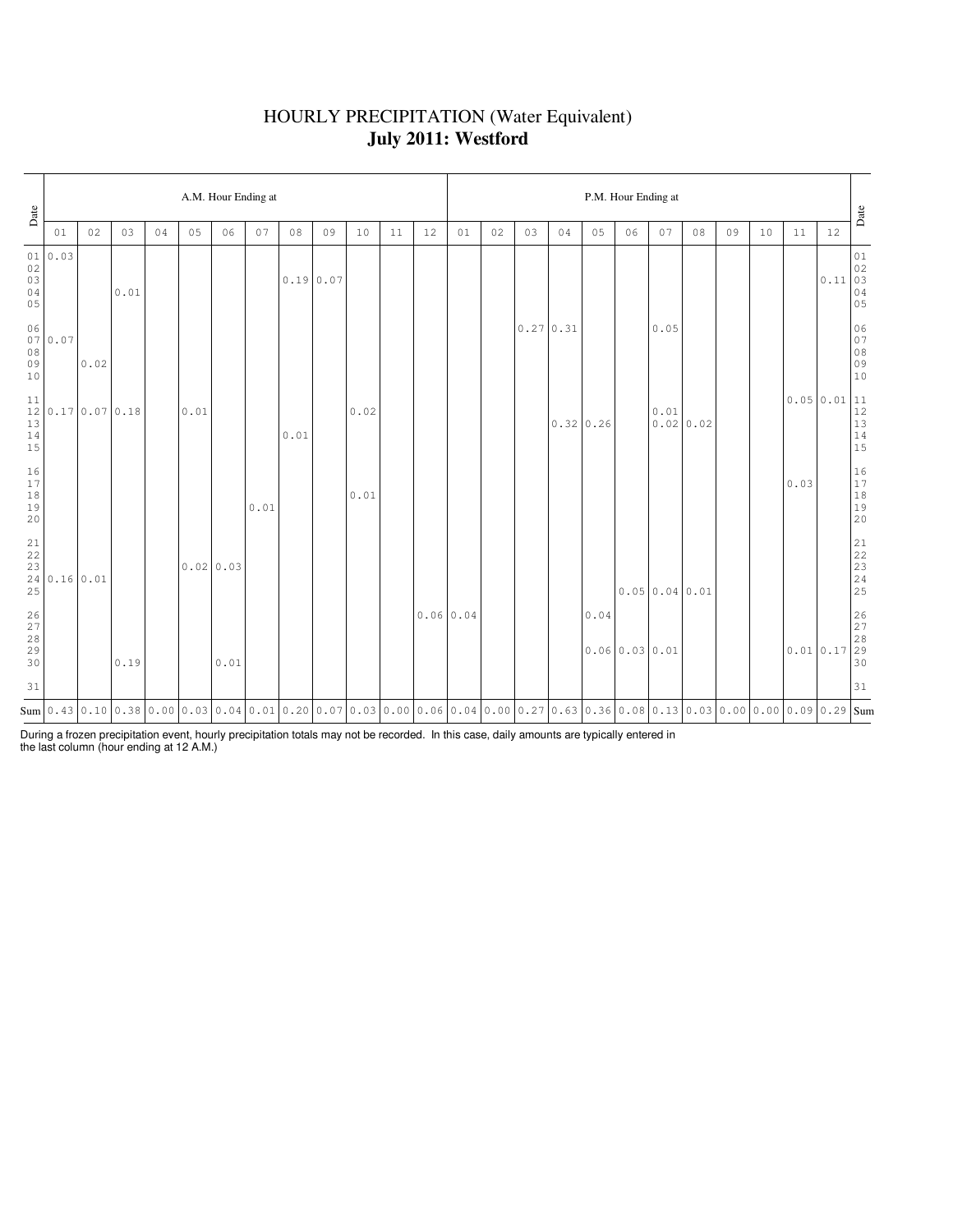## HOURLY PRECIPITATION (Water Equivalent) **July 2011: Westford**

| Date                                          |                                                   |      |      |    |      | A.M. Hour Ending at |      |      |                                                                                                                                                                                                                                                                                                                                                               |      |    |    |           | P.M. Hour Ending at |                  |                |      |                            |              |      |    |    |           |      |                                                                                                 |
|-----------------------------------------------|---------------------------------------------------|------|------|----|------|---------------------|------|------|---------------------------------------------------------------------------------------------------------------------------------------------------------------------------------------------------------------------------------------------------------------------------------------------------------------------------------------------------------------|------|----|----|-----------|---------------------|------------------|----------------|------|----------------------------|--------------|------|----|----|-----------|------|-------------------------------------------------------------------------------------------------|
|                                               | 01                                                | 02   | 03   | 04 | 05   | 06                  | 07   | 08   | 09                                                                                                                                                                                                                                                                                                                                                            | 10   | 11 | 12 | 01        | 02                  | 03               | 04             | 05   | 06                         | 07           | 08   | 09 | 10 | 11        | 12   | Date                                                                                            |
| 02<br>03<br>04<br>05                          | 01 0.03                                           |      | 0.01 |    |      |                     |      |      | 0.190.07                                                                                                                                                                                                                                                                                                                                                      |      |    |    |           |                     |                  |                |      |                            |              |      |    |    |           | 0.11 | $0\,1$<br>$\begin{bmatrix} 0.2 \\ 0.3 \end{bmatrix}$<br>$\begin{array}{c} 04 \\ 05 \end{array}$ |
| 06<br>$0\,8$<br>09<br>10                      | 070.07                                            | 0.02 |      |    |      |                     |      |      |                                                                                                                                                                                                                                                                                                                                                               |      |    |    |           |                     | $0.27 \mid 0.31$ |                |      |                            | 0.05         |      |    |    |           |      | 06<br>07<br>08<br>09<br>09<br>10                                                                |
| 11<br>12<br>13<br>14<br>15                    | 0.17 0.07 0.18                                    |      |      |    | 0.01 |                     |      | 0.01 |                                                                                                                                                                                                                                                                                                                                                               | 0.02 |    |    |           |                     |                  | $0.32 \, 0.26$ |      |                            | 0.01<br>0.02 | 0.02 |    |    | 0.0500.01 |      | $\begin{array}{ l} 11 \\ 12 \\ 13 \\ 14 \\ 15 \end{array}$                                      |
| $16$<br>17<br>$1\,8$<br>19<br>20              |                                                   |      |      |    |      |                     | 0.01 |      |                                                                                                                                                                                                                                                                                                                                                               | 0.01 |    |    |           |                     |                  |                |      |                            |              |      |    |    | 0.03      |      | $\begin{array}{c} 16 \\ 17 \\ 18 \\ 19 \\ 20 \end{array}$                                       |
| $\begin{array}{c} 21 \\ 22 \end{array}$<br>25 | $\begin{array}{c c} 23 & 0.16 & 0.01 \end{array}$ |      |      |    |      | 0.02 0.03           |      |      |                                                                                                                                                                                                                                                                                                                                                               |      |    |    |           |                     |                  |                |      |                            | 0.050.040.01 |      |    |    |           |      | $21$<br>$22$<br>$23$<br>$24$<br>$25$                                                            |
| 26<br>27<br>28<br>29<br>30                    |                                                   |      | 0.19 |    |      | 0.01                |      |      |                                                                                                                                                                                                                                                                                                                                                               |      |    |    | 0.0600.04 |                     |                  |                | 0.04 | $0.06 \mid 0.03 \mid 0.01$ |              |      |    |    | 0.010.17  |      | $\begin{array}{ c} 26 \\ 27 \\ 28 \\ 29 \\ 30 \end{array}$                                      |
| 31                                            |                                                   |      |      |    |      |                     |      |      |                                                                                                                                                                                                                                                                                                                                                               |      |    |    |           |                     |                  |                |      |                            |              |      |    |    |           |      | 31                                                                                              |
|                                               |                                                   |      |      |    |      |                     |      |      | $\texttt{Sum}[\texttt{0.43}[\texttt{0.10}[\texttt{0.38}[\texttt{0.00}[\texttt{0.03}[\texttt{0.01}[\texttt{0.01}[\texttt{0.20}[\texttt{0.07}[\texttt{0.03}[\texttt{0.08}[\texttt{0.06}[\texttt{0.04}[\texttt{0.00}[\texttt{0.27}[\texttt{0.63}[\texttt{0.36}[\texttt{0.08}[\texttt{0.03}[\texttt{0.03}[\texttt{0.00}[\texttt{0.09}[\texttt{0.29}[\texttt{Sum}$ |      |    |    |           |                     |                  |                |      |                            |              |      |    |    |           |      |                                                                                                 |

During a frozen precipitation event, hourly precipitation totals may not be recorded. In this case, daily amounts are typically entered in the last column (hour ending at 12 A.M.)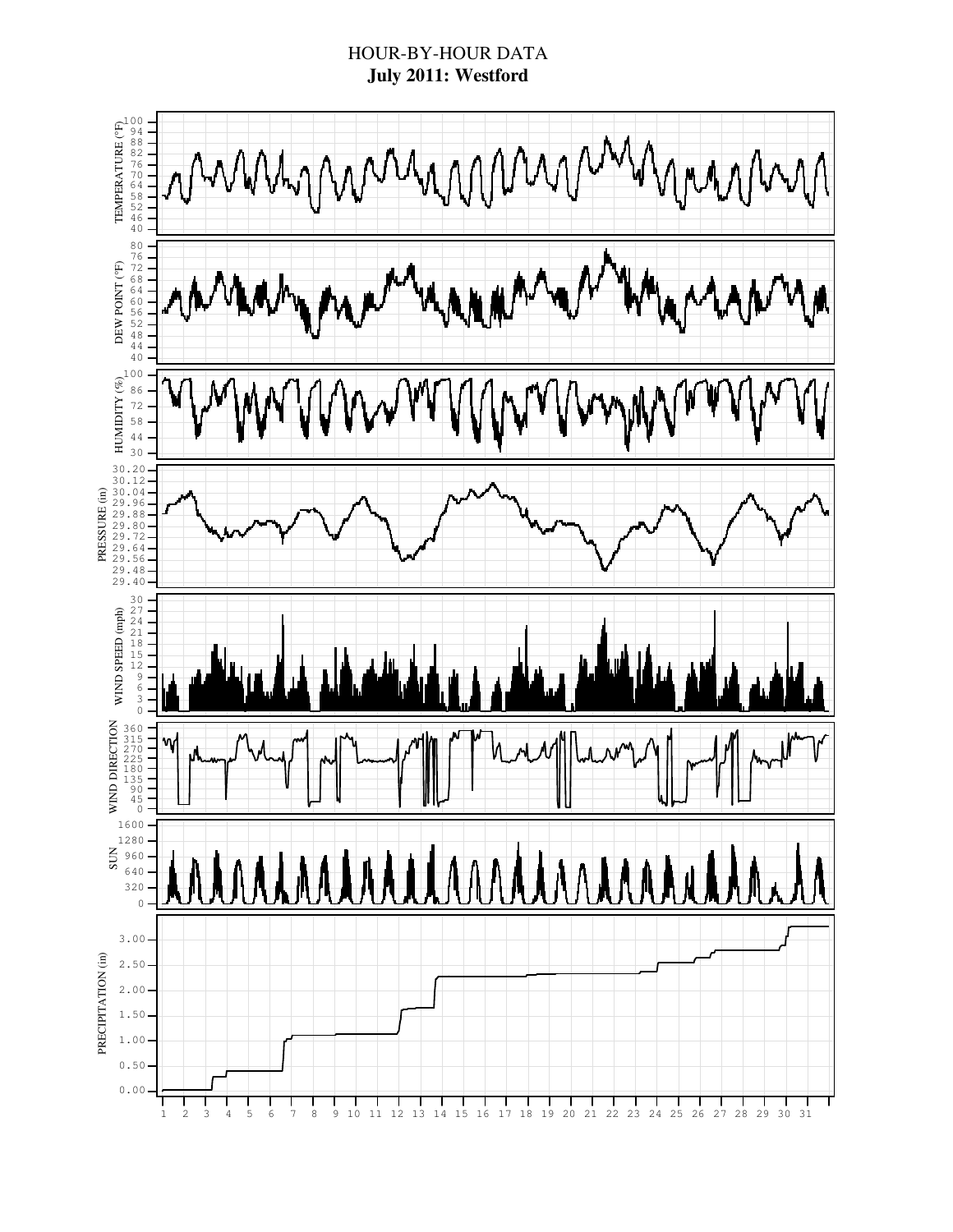## HOUR-BY-HOUR DATA **July 2011: Westford**